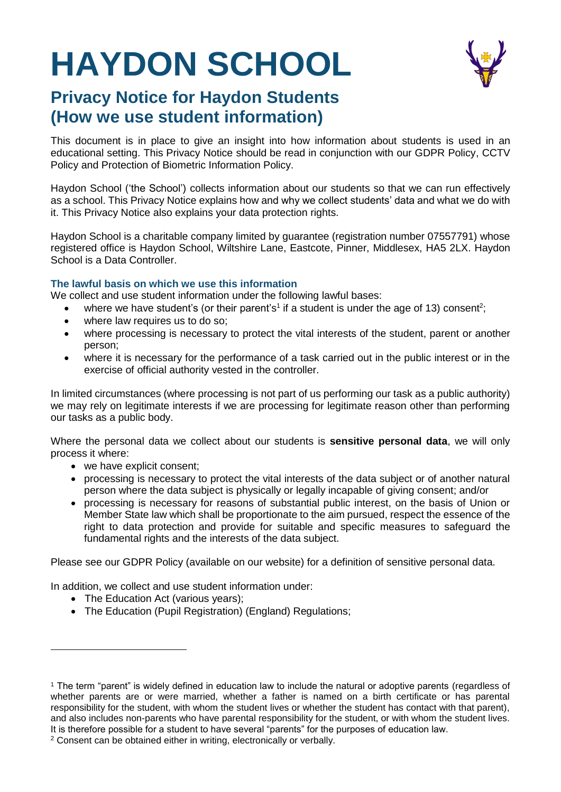# **HAYDON SCHOOL**



# **Privacy Notice for Haydon Students (How we use student information)**

This document is in place to give an insight into how information about students is used in an educational setting. This Privacy Notice should be read in conjunction with our GDPR Policy, CCTV Policy and Protection of Biometric Information Policy.

Haydon School ('the School') collects information about our students so that we can run effectively as a school. This Privacy Notice explains how and why we collect students' data and what we do with it. This Privacy Notice also explains your data protection rights.

Haydon School is a charitable company limited by guarantee (registration number 07557791) whose registered office is Haydon School, Wiltshire Lane, Eastcote, Pinner, Middlesex, HA5 2LX. Haydon School is a Data Controller.

#### **The lawful basis on which we use this information**

We collect and use student information under the following lawful bases:

- where we have student's (or their parent's<sup>1</sup> if a student is under the age of 13) consent<sup>2</sup>;
- where law requires us to do so;
- where processing is necessary to protect the vital interests of the student, parent or another person;
- where it is necessary for the performance of a task carried out in the public interest or in the exercise of official authority vested in the controller.

In limited circumstances (where processing is not part of us performing our task as a public authority) we may rely on legitimate interests if we are processing for legitimate reason other than performing our tasks as a public body.

Where the personal data we collect about our students is **sensitive personal data**, we will only process it where:

- we have explicit consent;
- processing is necessary to protect the vital interests of the data subject or of another natural person where the data subject is physically or legally incapable of giving consent; and/or
- processing is necessary for reasons of substantial public interest, on the basis of Union or Member State law which shall be proportionate to the aim pursued, respect the essence of the right to data protection and provide for suitable and specific measures to safeguard the fundamental rights and the interests of the data subject.

Please see our GDPR Policy (available on our website) for a definition of sensitive personal data.

In addition, we collect and use student information under:

• The Education Act (various years);

l

The Education (Pupil Registration) (England) Regulations;

<sup>1</sup> The term "parent" is widely defined in education law to include the natural or adoptive parents (regardless of whether parents are or were married, whether a father is named on a birth certificate or has parental responsibility for the student, with whom the student lives or whether the student has contact with that parent), and also includes non-parents who have parental responsibility for the student, or with whom the student lives. It is therefore possible for a student to have several "parents" for the purposes of education law.

<sup>2</sup> Consent can be obtained either in writing, electronically or verbally.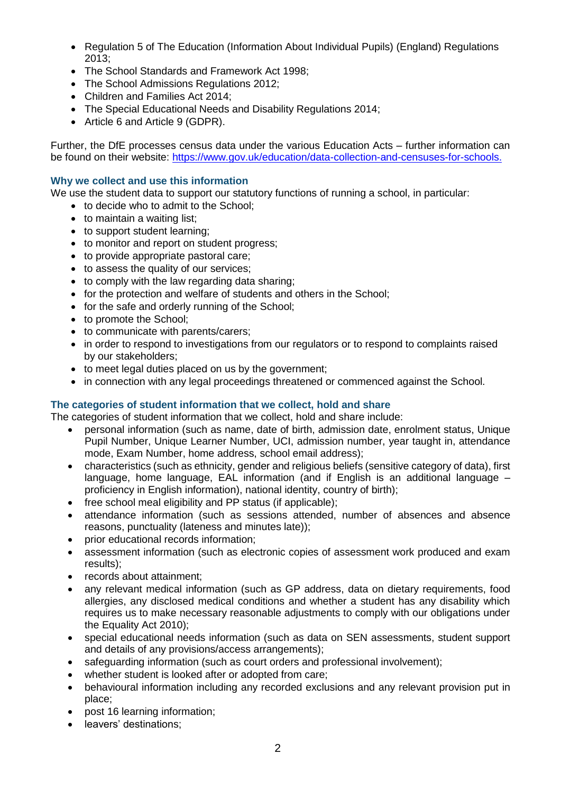- Regulation 5 of The Education (Information About Individual Pupils) (England) Regulations 2013;
- The School Standards and Framework Act 1998:
- The School Admissions Regulations 2012;
- Children and Families Act 2014;
- The Special Educational Needs and Disability Regulations 2014;
- Article 6 and Article 9 (GDPR).

Further, the DfE processes census data under the various Education Acts – further information can be found on their website: [https://www.gov.uk/education/data-collection-and-censuses-for-schools.](https://www.gov.uk/education/data-collection-and-censuses-for-schools)

#### **Why we collect and use this information**

We use the student data to support our statutory functions of running a school, in particular:

- to decide who to admit to the School:
- to maintain a waiting list;
- to support student learning;
- to monitor and report on student progress;
- to provide appropriate pastoral care;
- to assess the quality of our services;
- to comply with the law regarding data sharing;
- for the protection and welfare of students and others in the School;
- for the safe and orderly running of the School;
- to promote the School:
- to communicate with parents/carers:
- in order to respond to investigations from our regulators or to respond to complaints raised by our stakeholders;
- to meet legal duties placed on us by the government;
- in connection with any legal proceedings threatened or commenced against the School.

### **The categories of student information that we collect, hold and share**

The categories of student information that we collect, hold and share include:

- personal information (such as name, date of birth, admission date, enrolment status, Unique Pupil Number, Unique Learner Number, UCI, admission number, year taught in, attendance mode, Exam Number, home address, school email address);
- characteristics (such as ethnicity, gender and religious beliefs (sensitive category of data), first language, home language, EAL information (and if English is an additional language – proficiency in English information), national identity, country of birth);
- free school meal eligibility and PP status (if applicable);
- attendance information (such as sessions attended, number of absences and absence reasons, punctuality (lateness and minutes late));
- prior educational records information;
- assessment information (such as electronic copies of assessment work produced and exam results);
- records about attainment;
- any relevant medical information (such as GP address, data on dietary requirements, food allergies, any disclosed medical conditions and whether a student has any disability which requires us to make necessary reasonable adjustments to comply with our obligations under the Equality Act 2010);
- special educational needs information (such as data on SEN assessments, student support and details of any provisions/access arrangements);
- safeguarding information (such as court orders and professional involvement);
- whether student is looked after or adopted from care;
- behavioural information including any recorded exclusions and any relevant provision put in place;
- post 16 learning information:
- leavers' destinations;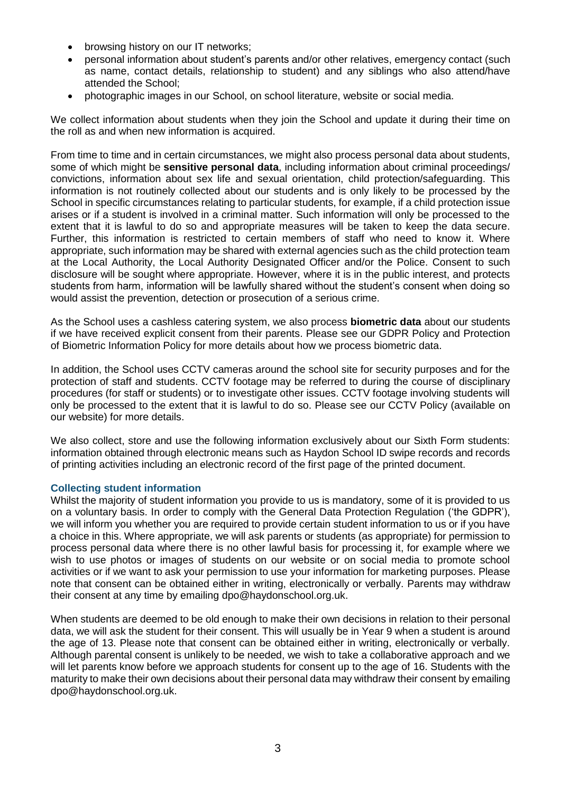- browsing history on our IT networks;
- personal information about student's parents and/or other relatives, emergency contact (such as name, contact details, relationship to student) and any siblings who also attend/have attended the School;
- photographic images in our School, on school literature, website or social media.

We collect information about students when they join the School and update it during their time on the roll as and when new information is acquired.

From time to time and in certain circumstances, we might also process personal data about students, some of which might be **sensitive personal data**, including information about criminal proceedings/ convictions, information about sex life and sexual orientation, child protection/safeguarding. This information is not routinely collected about our students and is only likely to be processed by the School in specific circumstances relating to particular students, for example, if a child protection issue arises or if a student is involved in a criminal matter. Such information will only be processed to the extent that it is lawful to do so and appropriate measures will be taken to keep the data secure. Further, this information is restricted to certain members of staff who need to know it. Where appropriate, such information may be shared with external agencies such as the child protection team at the Local Authority, the Local Authority Designated Officer and/or the Police. Consent to such disclosure will be sought where appropriate. However, where it is in the public interest, and protects students from harm, information will be lawfully shared without the student's consent when doing so would assist the prevention, detection or prosecution of a serious crime.

As the School uses a cashless catering system, we also process **biometric data** about our students if we have received explicit consent from their parents. Please see our GDPR Policy and Protection of Biometric Information Policy for more details about how we process biometric data.

In addition, the School uses CCTV cameras around the school site for security purposes and for the protection of staff and students. CCTV footage may be referred to during the course of disciplinary procedures (for staff or students) or to investigate other issues. CCTV footage involving students will only be processed to the extent that it is lawful to do so. Please see our CCTV Policy (available on our website) for more details.

We also collect, store and use the following information exclusively about our Sixth Form students: information obtained through electronic means such as Haydon School ID swipe records and records of printing activities including an electronic record of the first page of the printed document.

#### **Collecting student information**

Whilst the majority of student information you provide to us is mandatory, some of it is provided to us on a voluntary basis. In order to comply with the General Data Protection Regulation ('the GDPR'), we will inform you whether you are required to provide certain student information to us or if you have a choice in this. Where appropriate, we will ask parents or students (as appropriate) for permission to process personal data where there is no other lawful basis for processing it, for example where we wish to use photos or images of students on our website or on social media to promote school activities or if we want to ask your permission to use your information for marketing purposes. Please note that consent can be obtained either in writing, electronically or verbally. Parents may withdraw their consent at any time by emailing dpo@haydonschool.org.uk.

When students are deemed to be old enough to make their own decisions in relation to their personal data, we will ask the student for their consent. This will usually be in Year 9 when a student is around the age of 13. Please note that consent can be obtained either in writing, electronically or verbally. Although parental consent is unlikely to be needed, we wish to take a collaborative approach and we will let parents know before we approach students for consent up to the age of 16. Students with the maturity to make their own decisions about their personal data may withdraw their consent by emailing dpo@haydonschool.org.uk.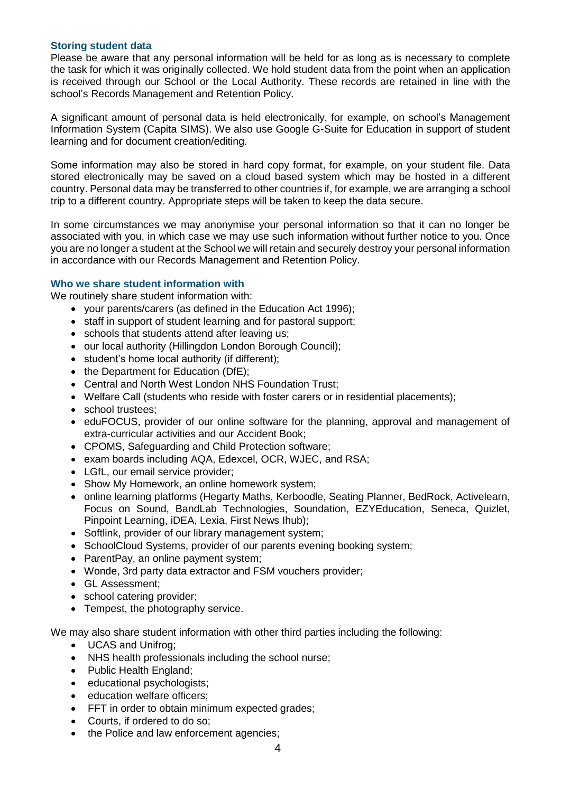#### **Storing student data**

Please be aware that any personal information will be held for as long as is necessary to complete the task for which it was originally collected. We hold student data from the point when an application is received through our School or the Local Authority. These records are retained in line with the school's Records Management and Retention Policy.

A significant amount of personal data is held electronically, for example, on school's Management Information System (Capita SIMS). We also use Google G-Suite for Education in support of student learning and for document creation/editing.

Some information may also be stored in hard copy format, for example, on your student file. Data stored electronically may be saved on a cloud based system which may be hosted in a different country. Personal data may be transferred to other countries if, for example, we are arranging a school trip to a different country. Appropriate steps will be taken to keep the data secure.

In some circumstances we may anonymise your personal information so that it can no longer be associated with you, in which case we may use such information without further notice to you. Once you are no longer a student at the School we will retain and securely destroy your personal information in accordance with our Records Management and Retention Policy.

#### **Who we share student information with**

We routinely share student information with:

- your parents/carers (as defined in the Education Act 1996);
- staff in support of student learning and for pastoral support;
- schools that students attend after leaving us;
- our local authority (Hillingdon London Borough Council):
- student's home local authority (if different);
- the Department for Education (DfE);
- Central and North West London NHS Foundation Trust;
- Welfare Call (students who reside with foster carers or in residential placements);
- school trustees:
- eduFOCUS, provider of our online software for the planning, approval and management of extra-curricular activities and our Accident Book;
- CPOMS, Safeguarding and Child Protection software;
- exam boards including AQA, Edexcel, OCR, WJEC, and RSA;
- LGfL, our email service provider;
- Show My Homework, an online homework system;
- online learning platforms (Hegarty Maths, Kerboodle, Seating Planner, BedRock, Activelearn, Focus on Sound, BandLab Technologies, Soundation, EZYEducation, Seneca, Quizlet, Pinpoint Learning, iDEA, Lexia, First News Ihub);
- Softlink, provider of our library management system;
- SchoolCloud Systems, provider of our parents evening booking system;
- ParentPay, an online payment system;
- Wonde, 3rd party data extractor and FSM vouchers provider;
- GL Assessment;
- school catering provider;
- Tempest, the photography service.

We may also share student information with other third parties including the following:

- UCAS and Unifrog:
- NHS health professionals including the school nurse;
- Public Health England;
- educational psychologists;
- education welfare officers;
- FFT in order to obtain minimum expected grades:
- Courts, if ordered to do so:
- the Police and law enforcement agencies;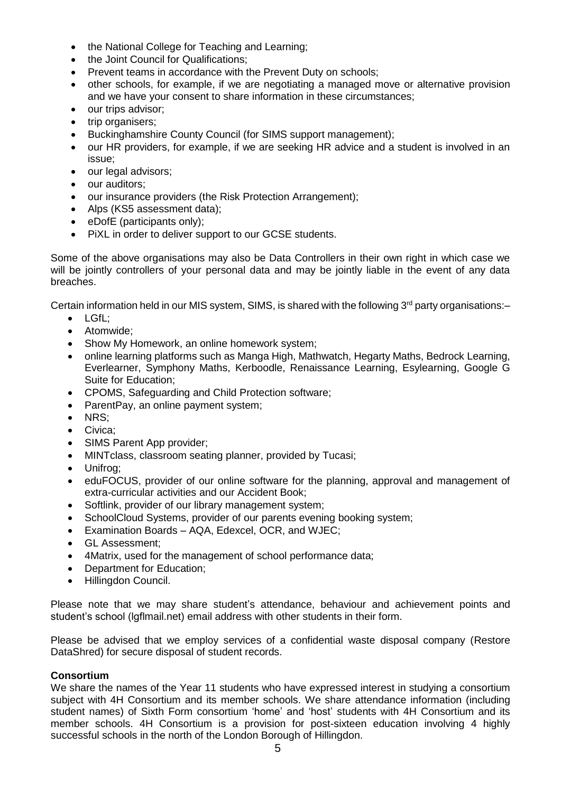- the National College for Teaching and Learning;
- the Joint Council for Qualifications;
- Prevent teams in accordance with the Prevent Duty on schools;
- other schools, for example, if we are negotiating a managed move or alternative provision and we have your consent to share information in these circumstances;
- our trips advisor;
- trip organisers;
- Buckinghamshire County Council (for SIMS support management);
- our HR providers, for example, if we are seeking HR advice and a student is involved in an issue;
- our legal advisors;
- our auditors;
- our insurance providers (the Risk Protection Arrangement);
- Alps (KS5 assessment data);
- eDofE (participants only);
- PiXL in order to deliver support to our GCSE students.

Some of the above organisations may also be Data Controllers in their own right in which case we will be jointly controllers of your personal data and may be jointly liable in the event of any data breaches.

Certain information held in our MIS system, SIMS, is shared with the following  $3<sup>rd</sup>$  party organisations:-

- LGfL:
- Atomwide:
- Show My Homework, an online homework system;
- online learning platforms such as Manga High, Mathwatch, Hegarty Maths, Bedrock Learning, Everlearner, Symphony Maths, Kerboodle, Renaissance Learning, Esylearning, Google G Suite for Education;
- CPOMS, Safeguarding and Child Protection software;
- ParentPay, an online payment system;
- NRS:
- Civica:
- SIMS Parent App provider;
- MINTclass, classroom seating planner, provided by Tucasi;
- Unifrog;
- eduFOCUS, provider of our online software for the planning, approval and management of extra-curricular activities and our Accident Book;
- Softlink, provider of our library management system;
- SchoolCloud Systems, provider of our parents evening booking system;
- Examination Boards AQA, Edexcel, OCR, and WJEC;
- GL Assessment;
- 4Matrix, used for the management of school performance data;
- Department for Education;
- Hillingdon Council.

Please note that we may share student's attendance, behaviour and achievement points and student's school (lgflmail.net) email address with other students in their form.

Please be advised that we employ services of a confidential waste disposal company (Restore DataShred) for secure disposal of student records.

#### **Consortium**

We share the names of the Year 11 students who have expressed interest in studying a consortium subject with 4H Consortium and its member schools. We share attendance information (including student names) of Sixth Form consortium 'home' and 'host' students with 4H Consortium and its member schools. 4H Consortium is a provision for post-sixteen education involving 4 highly successful schools in the north of the London Borough of Hillingdon.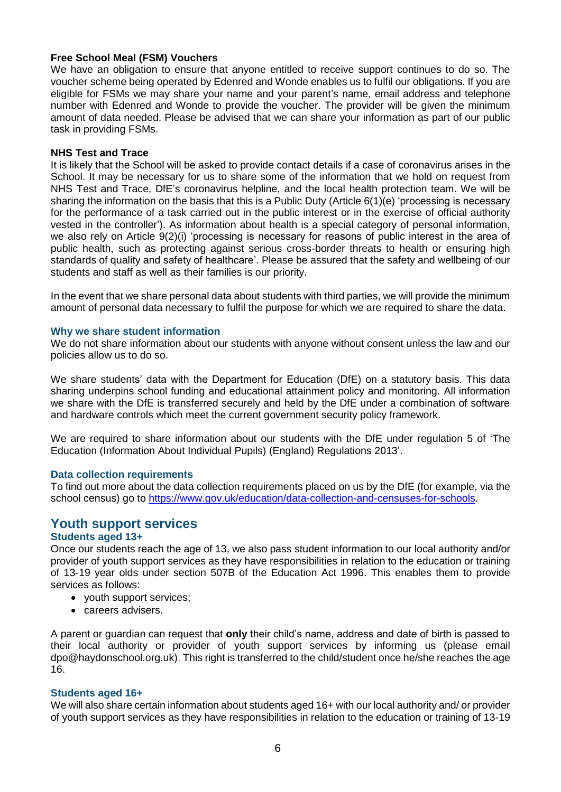#### **Free School Meal (FSM) Vouchers**

We have an obligation to ensure that anyone entitled to receive support continues to do so. The voucher scheme being operated by Edenred and Wonde enables us to fulfil our obligations. If you are eligible for FSMs we may share your name and your parent's name, email address and telephone number with Edenred and Wonde to provide the voucher. The provider will be given the minimum amount of data needed. Please be advised that we can share your information as part of our public task in providing FSMs.

#### **NHS Test and Trace**

It is likely that the School will be asked to provide contact details if a case of coronavirus arises in the School. It may be necessary for us to share some of the information that we hold on request from NHS Test and Trace, DfE's coronavirus helpline, and the local health protection team. We will be sharing the information on the basis that this is a Public Duty (Article 6(1)(e) 'processing is necessary for the performance of a task carried out in the public interest or in the exercise of official authority vested in the controller'). As information about health is a special category of personal information, we also rely on Article 9(2)(i) 'processing is necessary for reasons of public interest in the area of public health, such as protecting against serious cross-border threats to health or ensuring high standards of quality and safety of healthcare'. Please be assured that the safety and wellbeing of our students and staff as well as their families is our priority.

In the event that we share personal data about students with third parties, we will provide the minimum amount of personal data necessary to fulfil the purpose for which we are required to share the data.

#### **Why we share student information**

We do not share information about our students with anyone without consent unless the law and our policies allow us to do so.

We share students' data with the Department for Education (DfE) on a statutory basis. This data sharing underpins school funding and educational attainment policy and monitoring. All information we share with the DfE is transferred securely and held by the DfE under a combination of software and hardware controls which meet the current government security policy framework.

We are required to share information about our students with the DfE under regulation 5 of 'The Education (Information About Individual Pupils) (England) Regulations 2013'.

#### **Data collection requirements**

To find out more about the data collection requirements placed on us by the DfE (for example, via the school census) go to [https://www.gov.uk/education/data-collection-and-censuses-for-schools.](https://www.gov.uk/education/data-collection-and-censuses-for-schools)

## **Youth support services**

#### **Students aged 13+**

Once our students reach the age of 13, we also pass student information to our local authority and/or provider of youth support services as they have responsibilities in relation to the education or training of 13-19 year olds under section 507B of the Education Act 1996. This enables them to provide services as follows:

- vouth support services:
- careers advisers.

A parent or guardian can request that **only** their child's name, address and date of birth is passed to their local authority or provider of youth support services by informing us (please email dpo@haydonschool.org.uk). This right is transferred to the child/student once he/she reaches the age 16.

#### **Students aged 16+**

We will also share certain information about students aged 16+ with our local authority and/ or provider of youth support services as they have responsibilities in relation to the education or training of 13-19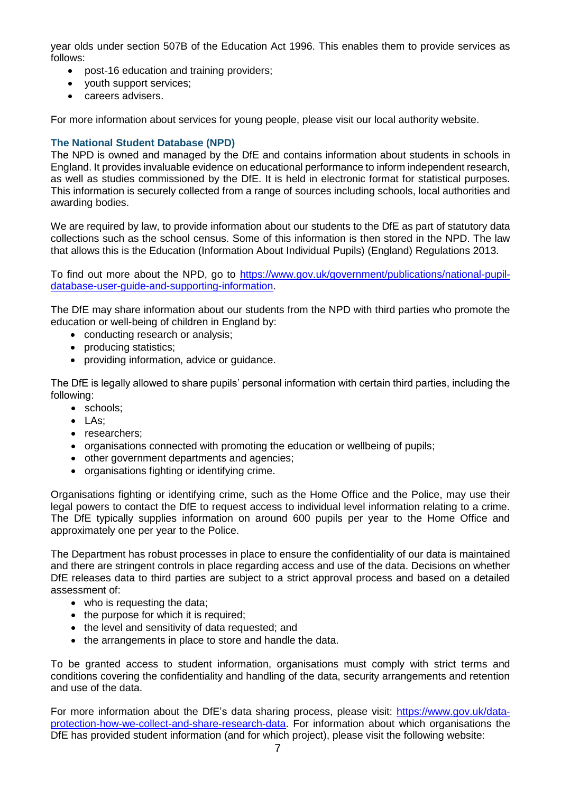year olds under section 507B of the Education Act 1996. This enables them to provide services as follows:

- post-16 education and training providers;
- vouth support services;
- careers advisers.

For more information about services for young people, please visit our local authority website.

#### **The National Student Database (NPD)**

The NPD is owned and managed by the DfE and contains information about students in schools in England. It provides invaluable evidence on educational performance to inform independent research, as well as studies commissioned by the DfE. It is held in electronic format for statistical purposes. This information is securely collected from a range of sources including schools, local authorities and awarding bodies.

We are required by law, to provide information about our students to the DfE as part of statutory data collections such as the school census. Some of this information is then stored in the NPD. The law that allows this is the Education (Information About Individual Pupils) (England) Regulations 2013.

To find out more about the NPD, go to [https://www.gov.uk/government/publications/national-pupil](https://www.gov.uk/government/publications/national-pupil-database-user-guide-and-supporting-information)[database-user-guide-and-supporting-information.](https://www.gov.uk/government/publications/national-pupil-database-user-guide-and-supporting-information)

The DfE may share information about our students from the NPD with third parties who promote the education or well-being of children in England by:

- conducting research or analysis;
- producing statistics;
- providing information, advice or guidance.

The DfE is legally allowed to share pupils' personal information with certain third parties, including the following:

- schools:
- $\bullet$  LAs<sup> $\cdot$ </sup>
- researchers;
- organisations connected with promoting the education or wellbeing of pupils;
- other government departments and agencies;
- organisations fighting or identifying crime.

Organisations fighting or identifying crime, such as the Home Office and the Police, may use their legal powers to contact the DfE to request access to individual level information relating to a crime. The DfE typically supplies information on around 600 pupils per year to the Home Office and approximately one per year to the Police.

The Department has robust processes in place to ensure the confidentiality of our data is maintained and there are stringent controls in place regarding access and use of the data. Decisions on whether DfE releases data to third parties are subject to a strict approval process and based on a detailed assessment of:

- who is requesting the data:
- the purpose for which it is required:
- the level and sensitivity of data requested; and
- the arrangements in place to store and handle the data.

To be granted access to student information, organisations must comply with strict terms and conditions covering the confidentiality and handling of the data, security arrangements and retention and use of the data.

For more information about the DfE's data sharing process, please visit: [https://www.gov.uk/data](https://www.gov.uk/data-protection-how-we-collect-and-share-research-data)[protection-how-we-collect-and-share-research-data.](https://www.gov.uk/data-protection-how-we-collect-and-share-research-data) For information about which organisations the DfE has provided student information (and for which project), please visit the following website: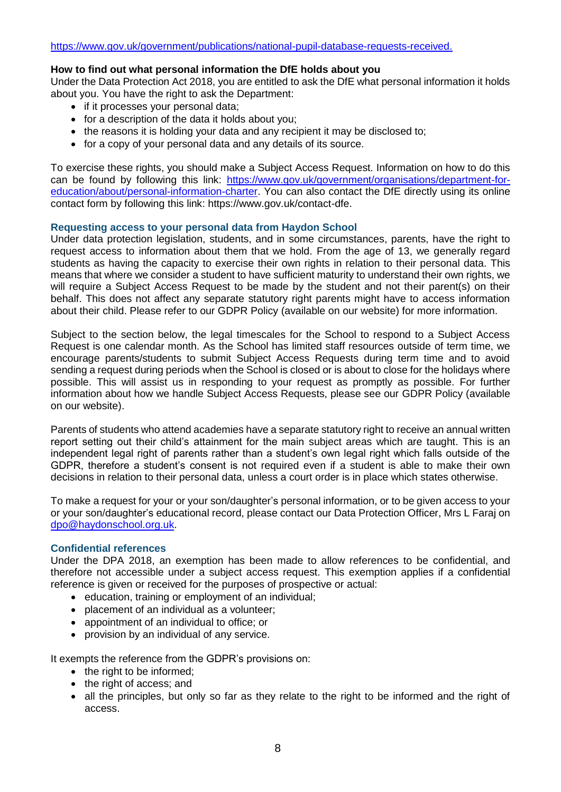#### **How to find out what personal information the DfE holds about you**

Under the Data Protection Act 2018, you are entitled to ask the DfE what personal information it holds about you. You have the right to ask the Department:

- if it processes your personal data;
- for a description of the data it holds about you;
- the reasons it is holding your data and any recipient it may be disclosed to:
- for a copy of your personal data and any details of its source.

To exercise these rights, you should make a Subject Access Request. Information on how to do this can be found by following this link: [https://www.gov.uk/government/organisations/department-for](https://www.gov.uk/government/organisations/department-for-education/about/personal-information-charter)[education/about/personal-information-charter.](https://www.gov.uk/government/organisations/department-for-education/about/personal-information-charter) You can also contact the DfE directly using its online contact form by following this link: https://www.gov.uk/contact-dfe.

#### **Requesting access to your personal data from Haydon School**

Under data protection legislation, students, and in some circumstances, parents, have the right to request access to information about them that we hold. From the age of 13, we generally regard students as having the capacity to exercise their own rights in relation to their personal data. This means that where we consider a student to have sufficient maturity to understand their own rights, we will require a Subject Access Request to be made by the student and not their parent(s) on their behalf. This does not affect any separate statutory right parents might have to access information about their child. Please refer to our GDPR Policy (available on our website) for more information.

Subject to the section below, the legal timescales for the School to respond to a Subject Access Request is one calendar month. As the School has limited staff resources outside of term time, we encourage parents/students to submit Subject Access Requests during term time and to avoid sending a request during periods when the School is closed or is about to close for the holidays where possible. This will assist us in responding to your request as promptly as possible. For further information about how we handle Subject Access Requests, please see our GDPR Policy (available on our website).

Parents of students who attend academies have a separate statutory right to receive an annual written report setting out their child's attainment for the main subject areas which are taught. This is an independent legal right of parents rather than a student's own legal right which falls outside of the GDPR, therefore a student's consent is not required even if a student is able to make their own decisions in relation to their personal data, unless a court order is in place which states otherwise.

To make a request for your or your son/daughter's personal information, or to be given access to your or your son/daughter's educational record, please contact our Data Protection Officer, Mrs L Faraj on [dpo@haydonschool.org.uk.](mailto:dpo@haydonschool.org.uk)

#### **Confidential references**

Under the DPA 2018, an exemption has been made to allow references to be confidential, and therefore not accessible under a subject access request. This exemption applies if a confidential reference is given or received for the purposes of prospective or actual:

- education, training or employment of an individual;
- placement of an individual as a volunteer:
- appointment of an individual to office; or
- provision by an individual of any service.

It exempts the reference from the GDPR's provisions on:

- the right to be informed;
- the right of access; and
- all the principles, but only so far as they relate to the right to be informed and the right of access.